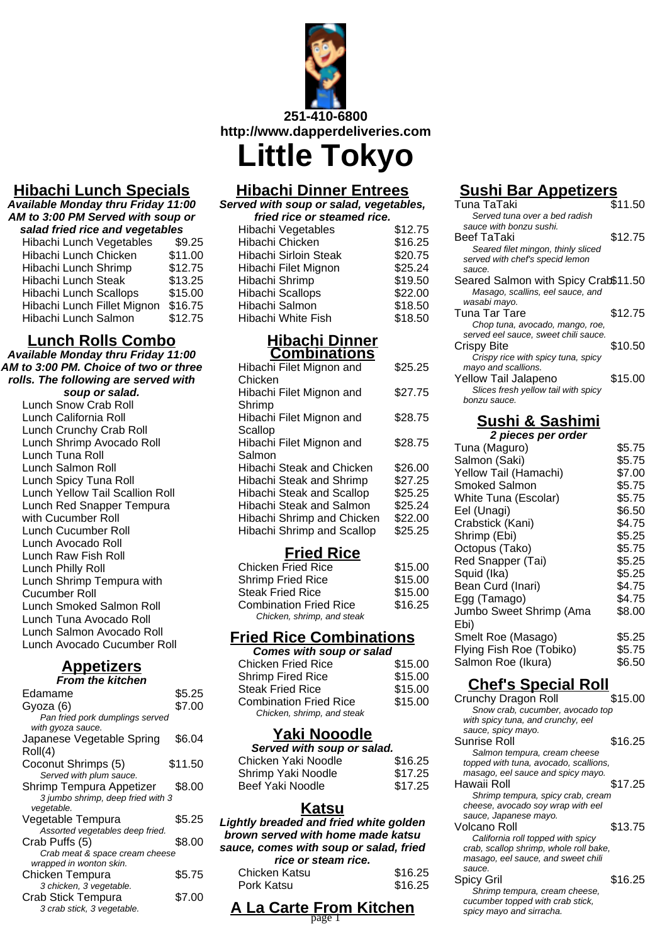

**Hibachi Dinner Entrees**

# **Hibachi Lunch Specials**

**Available Monday thru Friday 11:00 AM to 3:00 PM Served with soup or salad fried rice and vegetables**

| salau irieu rice anu vegetables |
|---------------------------------|
| \$9.25                          |
| \$11.00                         |
| \$12.75                         |
| \$13.25                         |
| \$15.00                         |
| \$16.75                         |
| \$12.75                         |
|                                 |

## **Lunch Rolls Combo**

**Available Monday thru Friday 11:00 AM to 3:00 PM. Choice of two or three rolls. The following are served with**

#### **soup or salad.**

Lunch Snow Crab Roll Lunch California Roll Lunch Crunchy Crab Roll Lunch Shrimp Avocado Roll Lunch Tuna Roll Lunch Salmon Roll Lunch Spicy Tuna Roll Lunch Yellow Tail Scallion Roll Lunch Red Snapper Tempura with Cucumber Roll Lunch Cucumber Roll Lunch Avocado Roll Lunch Raw Fish Roll Lunch Philly Roll Lunch Shrimp Tempura with Cucumber Roll Lunch Smoked Salmon Roll Lunch Tuna Avocado Roll Lunch Salmon Avocado Roll Lunch Avocado Cucumber Roll

## **Appetizers**

| <u>Appetizers</u>                 |         |
|-----------------------------------|---------|
| <b>From the kitchen</b>           |         |
| Edamame                           | \$5.25  |
| Gyoza (6)                         | \$7.00  |
| Pan fried pork dumplings served   |         |
| with gyoza sauce.                 |         |
| Japanese Vegetable Spring         | \$6.04  |
| Roll(4)                           |         |
| Coconut Shrimps (5)               | \$11.50 |
| Served with plum sauce.           |         |
| Shrimp Tempura Appetizer          | \$8.00  |
| 3 jumbo shrimp, deep fried with 3 |         |
| vegetable.                        |         |
| Vegetable Tempura                 | \$5.25  |
| Assorted vegetables deep fried.   |         |
| Crab Puffs (5)                    | \$8.00  |
| Crab meat & space cream cheese    |         |

Chicken Tempura \$5.75

wrapped in wonton skin.

3 chicken, 3 vegetable.

3 crab stick, 3 vegetable.

#### **Served with soup or salad, vegetables, fried rice or steamed rice.**

| \$12.75 |
|---------|
| \$16.25 |
| \$20.75 |
| \$25.24 |
| \$19.50 |
| \$22.00 |
| \$18.50 |
| \$18.50 |
|         |

#### **Hibachi Dinner Combinations**

| Hibachi Filet Mignon and          | \$25.25 |
|-----------------------------------|---------|
| Chicken                           |         |
| Hibachi Filet Mignon and          | \$27.75 |
| Shrimp                            |         |
| Hibachi Filet Mignon and          | \$28.75 |
| Scallop                           |         |
| Hibachi Filet Mignon and          | \$28.75 |
| Salmon                            |         |
| Hibachi Steak and Chicken         | \$26.00 |
| Hibachi Steak and Shrimp          | \$27.25 |
| Hibachi Steak and Scallop         | \$25.25 |
| Hibachi Steak and Salmon          | \$25.24 |
| Hibachi Shrimp and Chicken        | \$22.00 |
| <b>Hibachi Shrimp and Scallop</b> | \$25.25 |

# **Fried Rice**

| <b>Chicken Fried Rice</b>                                   | \$15.00 |
|-------------------------------------------------------------|---------|
| <b>Shrimp Fried Rice</b>                                    | \$15.00 |
| <b>Steak Fried Rice</b>                                     | \$15.00 |
| <b>Combination Fried Rice</b><br>Chicken, shrimp, and steak | \$16.25 |
|                                                             |         |

# **Fried Rice Combinations**

| <b>Comes with soup or salad</b> |         |
|---------------------------------|---------|
| <b>Chicken Fried Rice</b>       | \$15.00 |
| <b>Shrimp Fired Rice</b>        | \$15.00 |
| <b>Steak Fried Rice</b>         | \$15.00 |
| <b>Combination Fried Rice</b>   | \$15.00 |
| Chicken, shrimp, and steak      |         |

## **Yaki Nooodle**

| Served with soup or salad. |  |
|----------------------------|--|
| \$16.25                    |  |
| \$17.25                    |  |
| \$17.25                    |  |
|                            |  |

#### **Katsu**

**Lightly breaded and fried white golden brown served with home made katsu sauce, comes with soup or salad, fried**

| rice or steam rice. |         |
|---------------------|---------|
| Chicken Katsu       | \$16.25 |
| Pork Katsu          | \$16.25 |

# **Sushi Bar Appetizers**

| Tuna TaTaki                          | \$11.50 |
|--------------------------------------|---------|
| Served tuna over a bed radish        |         |
| sauce with bonzu sushi.              |         |
| Beef TaTaki                          | \$12.75 |
| Seared filet mingon, thinly sliced   |         |
| served with chef's specid lemon      |         |
| sauce.                               |         |
| Seared Salmon with Spicy Crab\$11.50 |         |
| Masago, scallins, eel sauce, and     |         |
| wasabi mayo.                         |         |
| Tuna Tar Tare                        | \$12.75 |
| Chop tuna, avocado, mango, roe,      |         |
| served eel sauce, sweet chili sauce. |         |
| Crispy Bite                          | \$10.50 |
| Crispy rice with spicy tuna, spicy   |         |
| mayo and scallions.                  |         |
| Yellow Tail Jalapeno                 | \$15.00 |
| Slices fresh yellow tail with spicy  |         |
| bonzu sauce.                         |         |
|                                      |         |
| <u>Sushi &amp; Sashimi</u>           |         |
| 2 pieces per order                   |         |
| Tuna (Maguro)                        | \$5.75  |

| Tuna (Maguro)            | \$5.75 |
|--------------------------|--------|
| Salmon (Saki)            | \$5.75 |
| Yellow Tail (Hamachi)    | \$7.00 |
| Smoked Salmon            | \$5.75 |
| White Tuna (Escolar)     | \$5.75 |
| Eel (Unagi)              | \$6.50 |
| Crabstick (Kani)         | \$4.75 |
| Shrimp (Ebi)             | \$5.25 |
| Octopus (Tako)           | \$5.75 |
| Red Snapper (Tai)        | \$5.25 |
| Squid (Ika)              | \$5.25 |
| Bean Curd (Inari)        | \$4.75 |
| Egg (Tamago)             | \$4.75 |
| Jumbo Sweet Shrimp (Ama  | \$8.00 |
| Ebi)                     |        |
| Smelt Roe (Masago)       | \$5.25 |
| Flying Fish Roe (Tobiko) | \$5.75 |
| Salmon Roe (Ikura)       | \$6.50 |
|                          |        |

# **Chef's Special Roll**

| Crunchy Dragon Roll                    | \$15.00 |
|----------------------------------------|---------|
| Snow crab, cucumber, avocado top       |         |
| with spicy tuna, and crunchy, eel      |         |
| sauce, spicy mayo.                     |         |
| Sunrise Roll                           | \$16.25 |
| Salmon tempura, cream cheese           |         |
| topped with tuna, avocado, scallions,  |         |
| masago, eel sauce and spicy mayo.      |         |
| Hawaii Roll                            | \$17.25 |
| Shrimp tempura, spicy crab, cream      |         |
| cheese, avocado soy wrap with eel      |         |
| sauce, Japanese mayo.                  |         |
| Volcano Roll                           | \$13.75 |
| California roll topped with spicy      |         |
| crab, scallop shrimp, whole roll bake, |         |
| masago, eel sauce, and sweet chili     |         |
| sauce.                                 |         |
| <b>Spicy Gril</b>                      | \$16.25 |
| Shrimp tempura, cream cheese,          |         |
| cucumber topped with crab stick,       |         |
| spicy mayo and sirracha.               |         |

## Crab Stick Tempura \$7.00 **A La Carte From Kitchen** spicy mayo and sirracha. page 1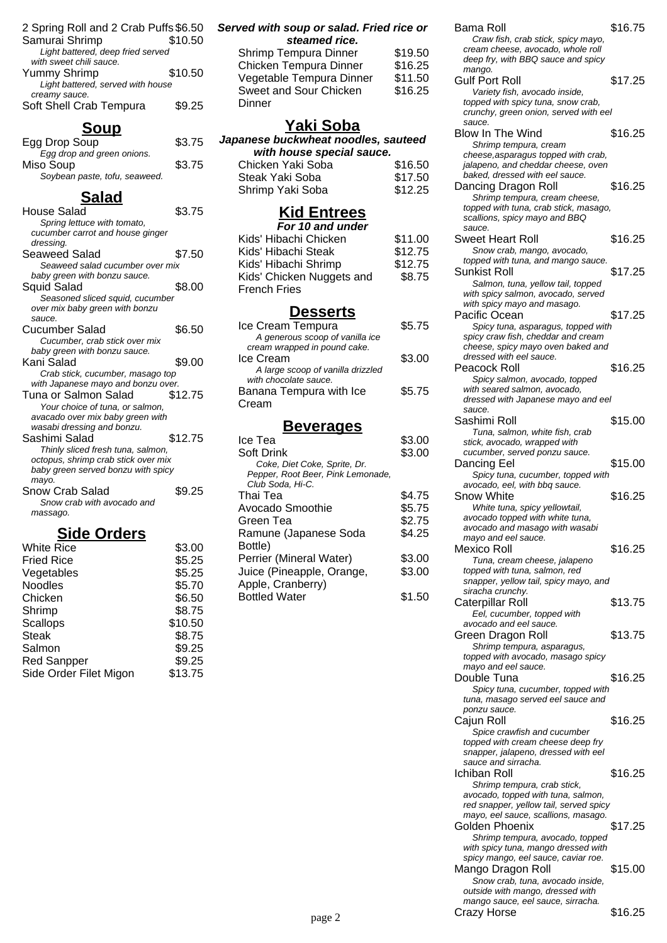| 2 Spring Roll and 2 Crab Puffs \$6.50 |         |
|---------------------------------------|---------|
| Samurai Shrimp                        | \$10.50 |
| Light battered, deep fried served     |         |
| with sweet chili sauce.               |         |
| Yummy Shrimp                          | \$10.50 |
| Light battered, served with house     |         |
| creamy sauce.                         |         |
| Soft Shell Crab Tempura               | \$9.25  |
|                                       |         |

## **Soup**

| Egg Drop Soup                 | \$3.75 |
|-------------------------------|--------|
| Egg drop and green onions.    |        |
| Miso Soup                     | \$3.75 |
| Soybean paste, tofu, seaweed. |        |
|                               |        |

## **Salad**

| House Salad                         | \$3.75  |
|-------------------------------------|---------|
| Spring lettuce with tomato,         |         |
| cucumber carrot and house ginger    |         |
| dressing.                           |         |
| Seaweed Salad                       | \$7.50  |
| Seaweed salad cucumber over mix     |         |
| baby green with bonzu sauce.        |         |
| Squid Salad                         | \$8.00  |
| Seasoned sliced squid, cucumber     |         |
| over mix baby green with bonzu      |         |
| sauce.                              |         |
| Cucumber Salad                      | \$6.50  |
| Cucumber, crab stick over mix       |         |
| baby green with bonzu sauce.        |         |
| Kani Salad                          | \$9.00  |
| Crab stick, cucumber, masago top    |         |
| with Japanese mayo and bonzu over.  |         |
| Tuna or Salmon Salad                | \$12.75 |
| Your choice of tuna, or salmon,     |         |
| avacado over mix baby green with    |         |
| wasabi dressing and bonzu.          |         |
| Sashimi Salad                       | \$12.75 |
| Thinly sliced fresh tuna, salmon,   |         |
| octopus, shrimp crab stick over mix |         |
| baby green served bonzu with spicy  |         |
| mayo.                               |         |
| Snow Crab Salad                     | \$9.25  |
| Snow crab with avocado and          |         |
| massago.                            |         |
|                                     |         |

### **Side Orders**

| <b>White Rice</b>      | \$3.00  |
|------------------------|---------|
| <b>Fried Rice</b>      | \$5.25  |
| Vegetables             | \$5.25  |
| <b>Noodles</b>         | \$5.70  |
| Chicken                | \$6.50  |
| Shrimp                 | \$8.75  |
| Scallops               | \$10.50 |
| <b>Steak</b>           | \$8.75  |
| Salmon                 | \$9.25  |
| <b>Red Sanpper</b>     | \$9.25  |
| Side Order Filet Migon | \$13.75 |
|                        |         |

#### **Served with soup or salad. Fried rice or steamed rice.**

| Shrimp Tempura Dinner    | \$19.50 |
|--------------------------|---------|
| Chicken Tempura Dinner   | \$16.25 |
| Vegetable Tempura Dinner | \$11.50 |
| Sweet and Sour Chicken   | \$16.25 |
| Dinner                   |         |
|                          |         |

### **Yaki Soba**

#### **Japanese buckwheat noodles, sauteed with house special sauce.**

| Chicken Yaki Soba | \$16.50 |
|-------------------|---------|
| Steak Yaki Soba   | \$17.50 |
| Shrimp Yaki Soba  | \$12.25 |

#### **Kid Entrees**

| \$11.00 |
|---------|
| \$12.75 |
| \$12.75 |
| \$8.75  |
|         |
|         |

#### **Desserts**

| Ice Cream Tempura                 | \$5.75 |
|-----------------------------------|--------|
| A generous scoop of vanilla ice   |        |
| cream wrapped in pound cake.      |        |
| Ice Cream                         | \$3.00 |
| A large scoop of vanilla drizzled |        |
| with chocolate sauce.             |        |
| Banana Tempura with Ice           | \$5.75 |
| Cream                             |        |
|                                   |        |

### **Beverages**

| Ice Tea                           | \$3.00 |
|-----------------------------------|--------|
| Soft Drink                        | \$3.00 |
| Coke, Diet Coke, Sprite, Dr.      |        |
| Pepper, Root Beer, Pink Lemonade, |        |
| Club Soda, Hi-C.                  |        |
| Thai Tea                          | \$4.75 |
| Avocado Smoothie                  | \$5.75 |
| Green Tea                         | \$2.75 |
| Ramune (Japanese Soda             | \$4.25 |
| Bottle)                           |        |
| Perrier (Mineral Water)           | \$3.00 |
| Juice (Pineapple, Orange,         | \$3.00 |
| Apple, Cranberry)                 |        |
| <b>Bottled Water</b>              | \$1.50 |
|                                   |        |

#### Bama Roll \$16.75 Craw fish, crab stick, spicy mayo, cream cheese, avocado, whole roll deep fry, with BBQ sauce and spicy mango. Gulf Port Roll \$17.25 Variety fish, avocado inside, topped with spicy tuna, snow crab, crunchy, green onion, served with eel sauce. Blow In The Wind \$16.25 Shrimp tempura, cream cheese,asparagus topped with crab, jalapeno, and cheddar cheese, oven baked, dressed with eel sauce. Dancing Dragon Roll \$16.25 Shrimp tempura, cream cheese, topped with tuna, crab stick, masago, scallions, spicy mayo and BBQ sauce. Sweet Heart Roll \$16.25 Snow crab, mango, avocado, topped with tuna, and mango sauce. Sunkist Roll \$17.25 Salmon, tuna, yellow tail, topped with spicy salmon, avocado, served with spicy mayo and masago. Pacific Ocean \$17.25 Spicy tuna, asparagus, topped with spicy craw fish, cheddar and cream cheese, spicy mayo oven baked and dressed with eel sauce. Peacock Roll \$16.25 Spicy salmon, avocado, topped with seared salmon, avocado, dressed with Japanese mayo and eel sauce. Sashimi Roll \$15.00 Tuna, salmon, white fish, crab stick, avocado, wrapped with cucumber, served ponzu sauce. Dancing Eel \$15.00 Spicy tuna, cucumber, topped with avocado, eel, with bbq sauce. Snow White  $$16.25$ White tuna, spicy yellowtail, avocado topped with white tuna, avocado and masago with wasabi mayo and eel sauce. Mexico Roll \$16.25 Tuna, cream cheese, jalapeno topped with tuna, salmon, red snapper, yellow tail, spicy mayo, and siracha crunchy. Caterpillar Roll \$13.75 Eel, cucumber, topped with avocado and eel sauce. Green Dragon Roll \$13.75 Shrimp tempura, asparagus, topped with avocado, masago spicy mayo and eel sauce. Double Tuna \$16.25 Spicy tuna, cucumber, topped with tuna, masago served eel sauce and ponzu sauce. Cajun Roll \$16.25 Spice crawfish and cucumber topped with cream cheese deep fry snapper, jalapeno, dressed with eel sauce and sirracha.

|        | silapper, jalaperio, gresseg with eer<br>sauce and sirracha.                                              |         |
|--------|-----------------------------------------------------------------------------------------------------------|---------|
|        | Ichiban Roll                                                                                              | \$16.25 |
|        | Shrimp tempura, crab stick,                                                                               |         |
|        | avocado, topped with tuna, salmon,<br>red snapper, yellow tail, served spicy                              |         |
|        | mayo, eel sauce, scallions, masago.                                                                       |         |
|        | Golden Phoenix                                                                                            | \$17.25 |
|        | Shrimp tempura, avocado, topped                                                                           |         |
|        | with spicy tuna, mango dressed with<br>spicy mango, eel sauce, caviar roe.                                |         |
|        | Mango Dragon Roll                                                                                         | \$15.00 |
|        | Snow crab, tuna, avocado inside,<br>outside with mango, dressed with<br>mango sauce, eel sauce, sirracha. |         |
| page 2 | Crazy Horse                                                                                               | \$16.25 |
|        |                                                                                                           |         |